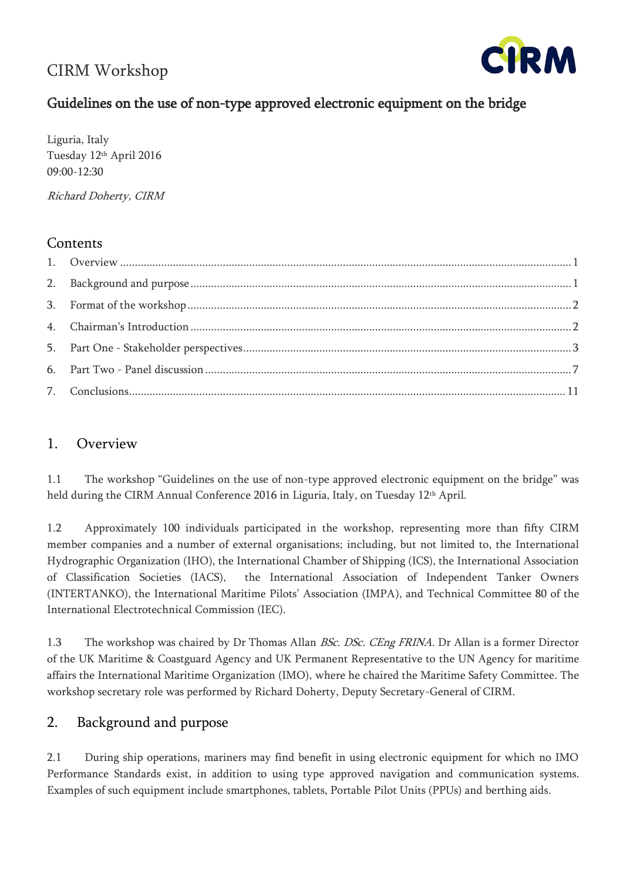# CIRM Workshop



# Guidelines on the use of non-type approved electronic equipment on the bridge

Liguria, Italy Tuesday 12th April 2016 09:00-12:30

Richard Doherty, CIRM

### **Contents**

### <span id="page-0-0"></span>1. Overview

1.1 The workshop "Guidelines on the use of non-type approved electronic equipment on the bridge" was held during the CIRM Annual Conference 2016 in Liguria, Italy, on Tuesday 12<sup>th</sup> April.

1.2 Approximately 100 individuals participated in the workshop, representing more than fifty CIRM member companies and a number of external organisations; including, but not limited to, the International Hydrographic Organization (IHO), the International Chamber of Shipping (ICS), the International Association of Classification Societies (IACS), the International Association of Independent Tanker Owners (INTERTANKO), the International Maritime Pilots' Association (IMPA), and Technical Committee 80 of the International Electrotechnical Commission (IEC).

1.3 The workshop was chaired by Dr Thomas Allan *BSc. DSc. CEng FRINA*. Dr Allan is a former Director of the UK Maritime & Coastguard Agency and UK Permanent Representative to the UN Agency for maritime affairs the International Maritime Organization (IMO), where he chaired the Maritime Safety Committee. The workshop secretary role was performed by Richard Doherty, Deputy Secretary-General of CIRM.

### <span id="page-0-1"></span>2. Background and purpose

2.1 During ship operations, mariners may find benefit in using electronic equipment for which no IMO Performance Standards exist, in addition to using type approved navigation and communication systems. Examples of such equipment include smartphones, tablets, Portable Pilot Units (PPUs) and berthing aids.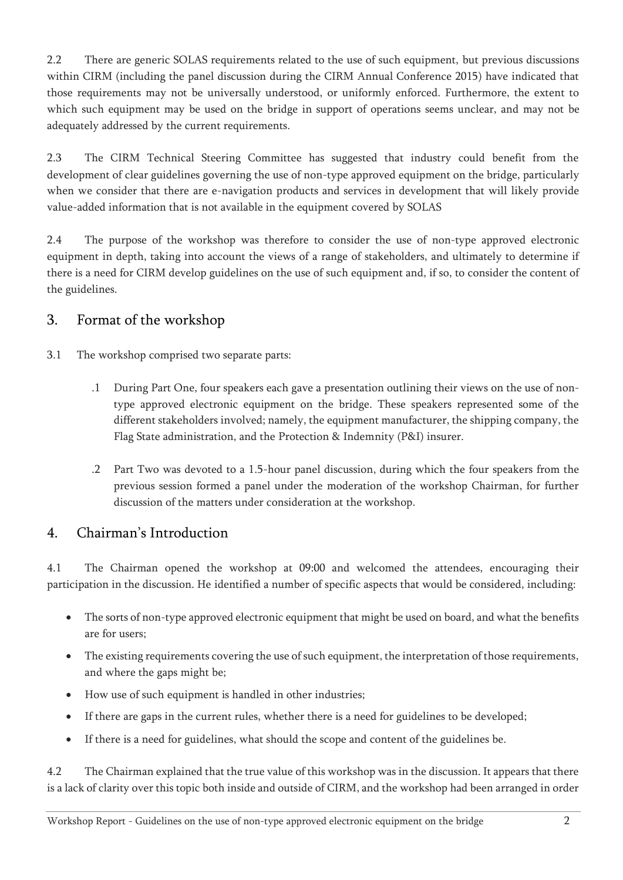2.2 There are generic SOLAS requirements related to the use of such equipment, but previous discussions within CIRM (including the panel discussion during the CIRM Annual Conference 2015) have indicated that those requirements may not be universally understood, or uniformly enforced. Furthermore, the extent to which such equipment may be used on the bridge in support of operations seems unclear, and may not be adequately addressed by the current requirements.

2.3 The CIRM Technical Steering Committee has suggested that industry could benefit from the development of clear guidelines governing the use of non-type approved equipment on the bridge, particularly when we consider that there are e-navigation products and services in development that will likely provide value-added information that is not available in the equipment covered by SOLAS

2.4 The purpose of the workshop was therefore to consider the use of non-type approved electronic equipment in depth, taking into account the views of a range of stakeholders, and ultimately to determine if there is a need for CIRM develop guidelines on the use of such equipment and, if so, to consider the content of the guidelines.

# <span id="page-1-0"></span>3. Format of the workshop

3.1 The workshop comprised two separate parts:

- .1 During Part One, four speakers each gave a presentation outlining their views on the use of nontype approved electronic equipment on the bridge. These speakers represented some of the different stakeholders involved; namely, the equipment manufacturer, the shipping company, the Flag State administration, and the Protection & Indemnity (P&I) insurer.
- .2 Part Two was devoted to a 1.5-hour panel discussion, during which the four speakers from the previous session formed a panel under the moderation of the workshop Chairman, for further discussion of the matters under consideration at the workshop.

## <span id="page-1-1"></span>4. Chairman's Introduction

4.1 The Chairman opened the workshop at 09:00 and welcomed the attendees, encouraging their participation in the discussion. He identified a number of specific aspects that would be considered, including:

- The sorts of non-type approved electronic equipment that might be used on board, and what the benefits are for users;
- The existing requirements covering the use of such equipment, the interpretation of those requirements, and where the gaps might be;
- How use of such equipment is handled in other industries;
- If there are gaps in the current rules, whether there is a need for guidelines to be developed;
- If there is a need for guidelines, what should the scope and content of the guidelines be.

4.2 The Chairman explained that the true value of this workshop was in the discussion. It appears that there is a lack of clarity over this topic both inside and outside of CIRM, and the workshop had been arranged in order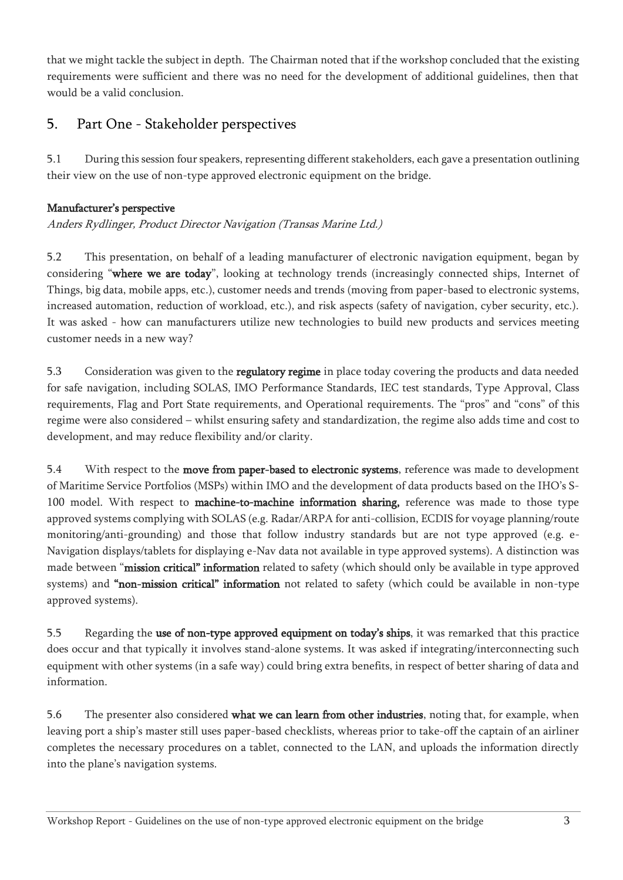that we might tackle the subject in depth. The Chairman noted that if the workshop concluded that the existing requirements were sufficient and there was no need for the development of additional guidelines, then that would be a valid conclusion.

# <span id="page-2-0"></span>5. Part One - Stakeholder perspectives

5.1 During this session four speakers, representing different stakeholders, each gave a presentation outlining their view on the use of non-type approved electronic equipment on the bridge.

### Manufacturer's perspective

Anders Rydlinger, Product Director Navigation (Transas Marine Ltd.)

5.2 This presentation, on behalf of a leading manufacturer of electronic navigation equipment, began by considering "where we are today", looking at technology trends (increasingly connected ships, Internet of Things, big data, mobile apps, etc.), customer needs and trends (moving from paper-based to electronic systems, increased automation, reduction of workload, etc.), and risk aspects (safety of navigation, cyber security, etc.). It was asked - how can manufacturers utilize new technologies to build new products and services meeting customer needs in a new way?

5.3 Consideration was given to the regulatory regime in place today covering the products and data needed for safe navigation, including SOLAS, IMO Performance Standards, IEC test standards, Type Approval, Class requirements, Flag and Port State requirements, and Operational requirements. The "pros" and "cons" of this regime were also considered – whilst ensuring safety and standardization, the regime also adds time and cost to development, and may reduce flexibility and/or clarity.

5.4 With respect to the **move from paper-based to electronic systems**, reference was made to development of Maritime Service Portfolios (MSPs) within IMO and the development of data products based on the IHO's S-100 model. With respect to machine-to-machine information sharing, reference was made to those type approved systems complying with SOLAS (e.g. Radar/ARPA for anti-collision, ECDIS for voyage planning/route monitoring/anti-grounding) and those that follow industry standards but are not type approved (e.g. e-Navigation displays/tablets for displaying e-Nav data not available in type approved systems). A distinction was made between "mission critical" information related to safety (which should only be available in type approved systems) and "non-mission critical" information not related to safety (which could be available in non-type approved systems).

5.5 Regarding the use of non-type approved equipment on today's ships, it was remarked that this practice does occur and that typically it involves stand-alone systems. It was asked if integrating/interconnecting such equipment with other systems (in a safe way) could bring extra benefits, in respect of better sharing of data and information.

5.6 The presenter also considered what we can learn from other industries, noting that, for example, when leaving port a ship's master still uses paper-based checklists, whereas prior to take-off the captain of an airliner completes the necessary procedures on a tablet, connected to the LAN, and uploads the information directly into the plane's navigation systems.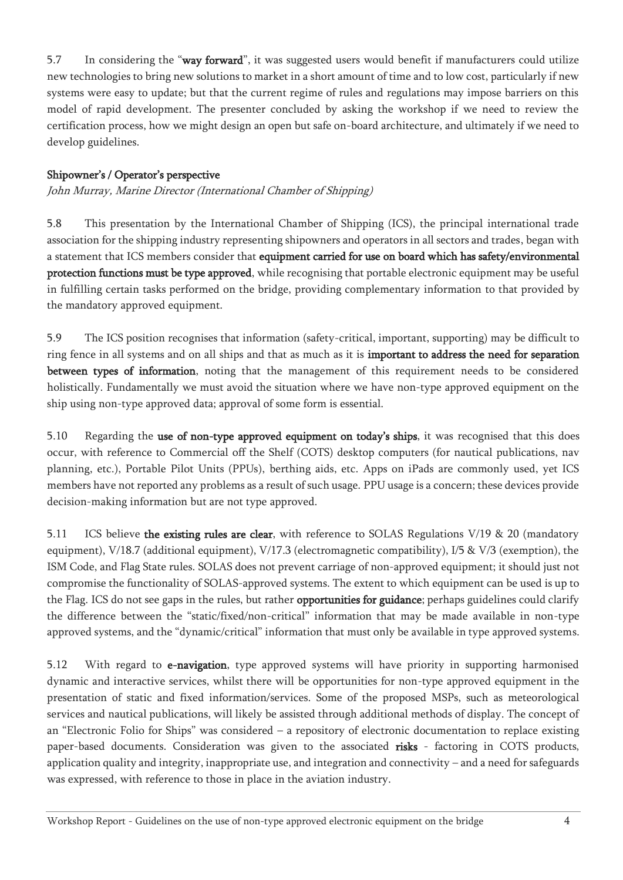5.7 In considering the "way forward", it was suggested users would benefit if manufacturers could utilize new technologies to bring new solutions to market in a short amount of time and to low cost, particularly if new systems were easy to update; but that the current regime of rules and regulations may impose barriers on this model of rapid development. The presenter concluded by asking the workshop if we need to review the certification process, how we might design an open but safe on-board architecture, and ultimately if we need to develop guidelines.

#### Shipowner's / Operator's perspective

John Murray, Marine Director (International Chamber of Shipping)

5.8 This presentation by the International Chamber of Shipping (ICS), the principal international trade association for the shipping industry representing shipowners and operators in all sectors and trades, began with a statement that ICS members consider that equipment carried for use on board which has safety/environmental protection functions must be type approved, while recognising that portable electronic equipment may be useful in fulfilling certain tasks performed on the bridge, providing complementary information to that provided by the mandatory approved equipment.

5.9 The ICS position recognises that information (safety-critical, important, supporting) may be difficult to ring fence in all systems and on all ships and that as much as it is important to address the need for separation between types of information, noting that the management of this requirement needs to be considered holistically. Fundamentally we must avoid the situation where we have non-type approved equipment on the ship using non-type approved data; approval of some form is essential.

5.10 Regarding the use of non-type approved equipment on today's ships, it was recognised that this does occur, with reference to Commercial off the Shelf (COTS) desktop computers (for nautical publications, nav planning, etc.), Portable Pilot Units (PPUs), berthing aids, etc. Apps on iPads are commonly used, yet ICS members have not reported any problems as a result of such usage. PPU usage is a concern; these devices provide decision-making information but are not type approved.

5.11 ICS believe the existing rules are clear, with reference to SOLAS Regulations V/19 & 20 (mandatory equipment), V/18.7 (additional equipment), V/17.3 (electromagnetic compatibility), I/5 & V/3 (exemption), the ISM Code, and Flag State rules. SOLAS does not prevent carriage of non-approved equipment; it should just not compromise the functionality of SOLAS-approved systems. The extent to which equipment can be used is up to the Flag. ICS do not see gaps in the rules, but rather opportunities for guidance; perhaps guidelines could clarify the difference between the "static/fixed/non-critical" information that may be made available in non-type approved systems, and the "dynamic/critical" information that must only be available in type approved systems.

5.12 With regard to e-navigation, type approved systems will have priority in supporting harmonised dynamic and interactive services, whilst there will be opportunities for non-type approved equipment in the presentation of static and fixed information/services. Some of the proposed MSPs, such as meteorological services and nautical publications, will likely be assisted through additional methods of display. The concept of an "Electronic Folio for Ships" was considered – a repository of electronic documentation to replace existing paper-based documents. Consideration was given to the associated risks - factoring in COTS products, application quality and integrity, inappropriate use, and integration and connectivity – and a need for safeguards was expressed, with reference to those in place in the aviation industry.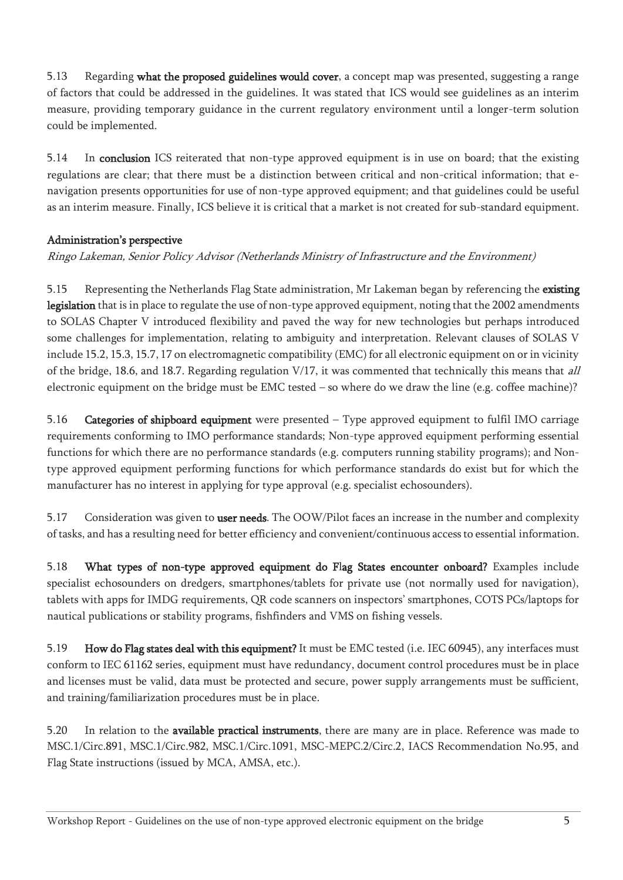5.13 Regarding what the proposed guidelines would cover, a concept map was presented, suggesting a range of factors that could be addressed in the guidelines. It was stated that ICS would see guidelines as an interim measure, providing temporary guidance in the current regulatory environment until a longer-term solution could be implemented.

5.14 In conclusion ICS reiterated that non-type approved equipment is in use on board; that the existing regulations are clear; that there must be a distinction between critical and non-critical information; that enavigation presents opportunities for use of non-type approved equipment; and that guidelines could be useful as an interim measure. Finally, ICS believe it is critical that a market is not created for sub-standard equipment.

### Administration's perspective

Ringo Lakeman, Senior Policy Advisor (Netherlands Ministry of Infrastructure and the Environment)

5.15 Representing the Netherlands Flag State administration, Mr Lakeman began by referencing the existing legislation that is in place to regulate the use of non-type approved equipment, noting that the 2002 amendments to SOLAS Chapter V introduced flexibility and paved the way for new technologies but perhaps introduced some challenges for implementation, relating to ambiguity and interpretation. Relevant clauses of SOLAS V include 15.2, 15.3, 15.7, 17 on electromagnetic compatibility (EMC) for all electronic equipment on or in vicinity of the bridge, 18.6, and 18.7. Regarding regulation V/17, it was commented that technically this means that all electronic equipment on the bridge must be EMC tested – so where do we draw the line (e.g. coffee machine)?

5.16 Categories of shipboard equipment were presented – Type approved equipment to fulfil IMO carriage requirements conforming to IMO performance standards; Non-type approved equipment performing essential functions for which there are no performance standards (e.g. computers running stability programs); and Nontype approved equipment performing functions for which performance standards do exist but for which the manufacturer has no interest in applying for type approval (e.g. specialist echosounders).

5.17 Consideration was given to user needs. The OOW/Pilot faces an increase in the number and complexity of tasks, and has a resulting need for better efficiency and convenient/continuous access to essential information.

5.18 What types of non-type approved equipment do Flag States encounter onboard? Examples include specialist echosounders on dredgers, smartphones/tablets for private use (not normally used for navigation), tablets with apps for IMDG requirements, QR code scanners on inspectors' smartphones, COTS PCs/laptops for nautical publications or stability programs, fishfinders and VMS on fishing vessels.

5.19 How do Flag states deal with this equipment? It must be EMC tested (i.e. IEC 60945), any interfaces must conform to IEC 61162 series, equipment must have redundancy, document control procedures must be in place and licenses must be valid, data must be protected and secure, power supply arrangements must be sufficient, and training/familiarization procedures must be in place.

5.20 In relation to the available practical instruments, there are many are in place. Reference was made to MSC.1/Circ.891, MSC.1/Circ.982, MSC.1/Circ.1091, MSC-MEPC.2/Circ.2, IACS Recommendation No.95, and Flag State instructions (issued by MCA, AMSA, etc.).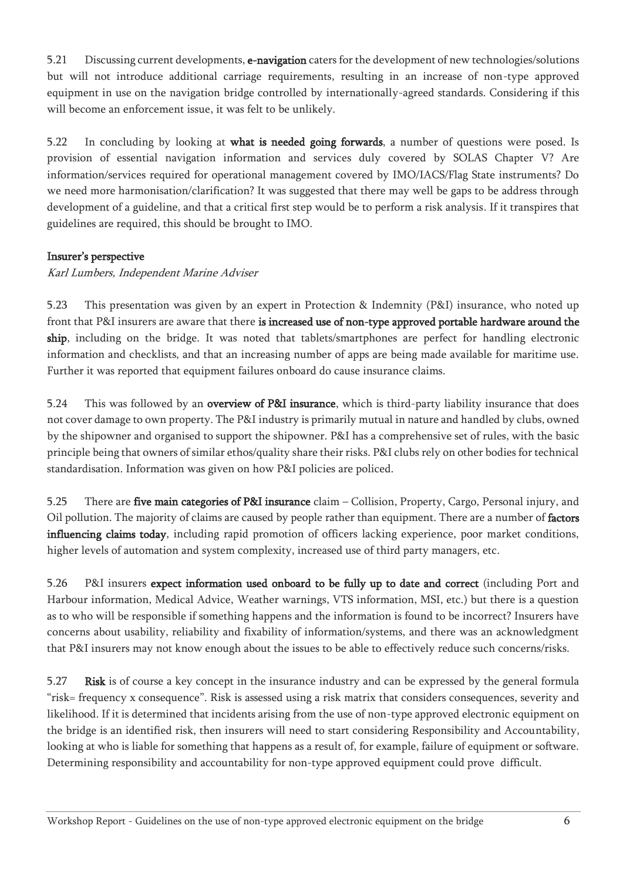5.21 Discussing current developments, e-navigation caters for the development of new technologies/solutions but will not introduce additional carriage requirements, resulting in an increase of non-type approved equipment in use on the navigation bridge controlled by internationally-agreed standards. Considering if this will become an enforcement issue, it was felt to be unlikely.

5.22 In concluding by looking at what is needed going forwards, a number of questions were posed. Is provision of essential navigation information and services duly covered by SOLAS Chapter V? Are information/services required for operational management covered by IMO/IACS/Flag State instruments? Do we need more harmonisation/clarification? It was suggested that there may well be gaps to be address through development of a guideline, and that a critical first step would be to perform a risk analysis. If it transpires that guidelines are required, this should be brought to IMO.

#### Insurer's perspective

Karl Lumbers, Independent Marine Adviser

5.23 This presentation was given by an expert in Protection & Indemnity (P&I) insurance, who noted up front that P&I insurers are aware that there is increased use of non-type approved portable hardware around the ship, including on the bridge. It was noted that tablets/smartphones are perfect for handling electronic information and checklists, and that an increasing number of apps are being made available for maritime use. Further it was reported that equipment failures onboard do cause insurance claims.

5.24 This was followed by an **overview of P&I insurance**, which is third-party liability insurance that does not cover damage to own property. The P&I industry is primarily mutual in nature and handled by clubs, owned by the shipowner and organised to support the shipowner. P&I has a comprehensive set of rules, with the basic principle being that owners of similar ethos/quality share their risks. P&I clubs rely on other bodies for technical standardisation. Information was given on how P&I policies are policed.

5.25 There are five main categories of P&I insurance claim – Collision, Property, Cargo, Personal injury, and Oil pollution. The majority of claims are caused by people rather than equipment. There are a number of factors influencing claims today, including rapid promotion of officers lacking experience, poor market conditions, higher levels of automation and system complexity, increased use of third party managers, etc.

5.26 P&I insurers expect information used onboard to be fully up to date and correct (including Port and Harbour information, Medical Advice, Weather warnings, VTS information, MSI, etc.) but there is a question as to who will be responsible if something happens and the information is found to be incorrect? Insurers have concerns about usability, reliability and fixability of information/systems, and there was an acknowledgment that P&I insurers may not know enough about the issues to be able to effectively reduce such concerns/risks.

5.27 Risk is of course a key concept in the insurance industry and can be expressed by the general formula "risk= frequency x consequence". Risk is assessed using a risk matrix that considers consequences, severity and likelihood. If it is determined that incidents arising from the use of non-type approved electronic equipment on the bridge is an identified risk, then insurers will need to start considering Responsibility and Accountability, looking at who is liable for something that happens as a result of, for example, failure of equipment or software. Determining responsibility and accountability for non-type approved equipment could prove difficult.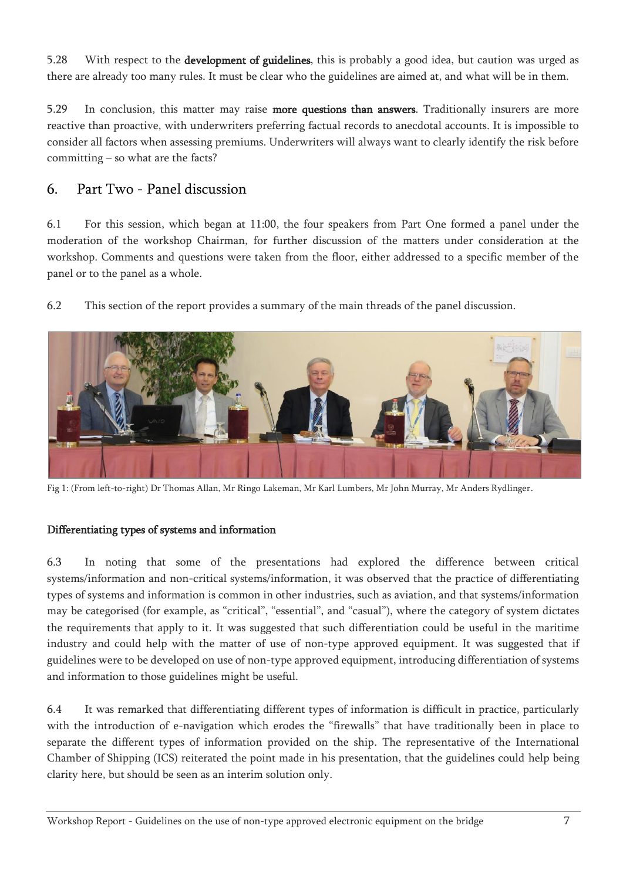5.28 With respect to the **development of guidelines**, this is probably a good idea, but caution was urged as there are already too many rules. It must be clear who the guidelines are aimed at, and what will be in them.

5.29 In conclusion, this matter may raise more questions than answers. Traditionally insurers are more reactive than proactive, with underwriters preferring factual records to anecdotal accounts. It is impossible to consider all factors when assessing premiums. Underwriters will always want to clearly identify the risk before committing – so what are the facts?

### <span id="page-6-0"></span>6. Part Two - Panel discussion

6.1 For this session, which began at 11:00, the four speakers from Part One formed a panel under the moderation of the workshop Chairman, for further discussion of the matters under consideration at the workshop. Comments and questions were taken from the floor, either addressed to a specific member of the panel or to the panel as a whole.

6.2 This section of the report provides a summary of the main threads of the panel discussion.



Fig 1: (From left-to-right) Dr Thomas Allan, Mr Ringo Lakeman, Mr Karl Lumbers, Mr John Murray, Mr Anders Rydlinger.

#### Differentiating types of systems and information

6.3 In noting that some of the presentations had explored the difference between critical systems/information and non-critical systems/information, it was observed that the practice of differentiating types of systems and information is common in other industries, such as aviation, and that systems/information may be categorised (for example, as "critical", "essential", and "casual"), where the category of system dictates the requirements that apply to it. It was suggested that such differentiation could be useful in the maritime industry and could help with the matter of use of non-type approved equipment. It was suggested that if guidelines were to be developed on use of non-type approved equipment, introducing differentiation of systems and information to those guidelines might be useful.

6.4 It was remarked that differentiating different types of information is difficult in practice, particularly with the introduction of e-navigation which erodes the "firewalls" that have traditionally been in place to separate the different types of information provided on the ship. The representative of the International Chamber of Shipping (ICS) reiterated the point made in his presentation, that the guidelines could help being clarity here, but should be seen as an interim solution only.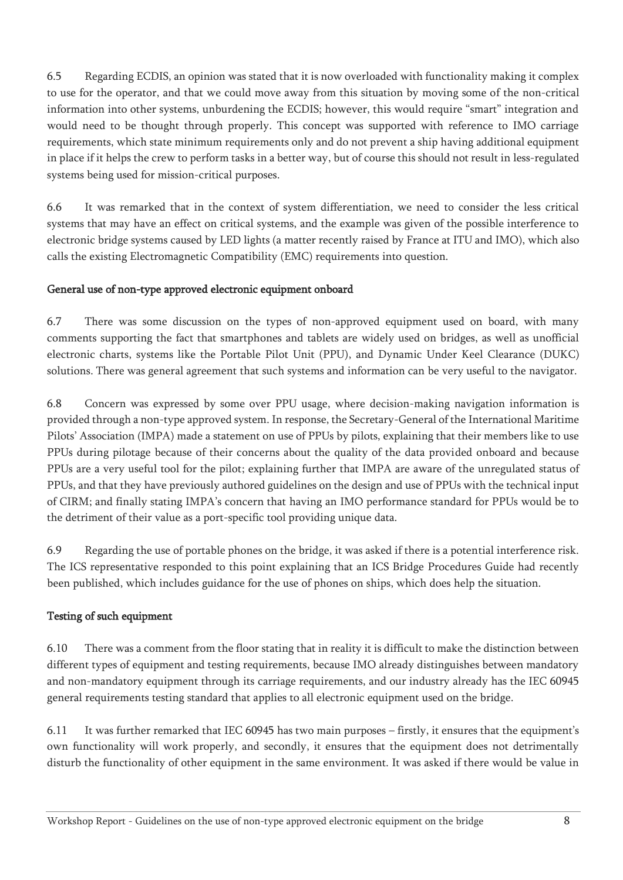6.5 Regarding ECDIS, an opinion was stated that it is now overloaded with functionality making it complex to use for the operator, and that we could move away from this situation by moving some of the non-critical information into other systems, unburdening the ECDIS; however, this would require "smart" integration and would need to be thought through properly. This concept was supported with reference to IMO carriage requirements, which state minimum requirements only and do not prevent a ship having additional equipment in place if it helps the crew to perform tasks in a better way, but of course this should not result in less-regulated systems being used for mission-critical purposes.

6.6 It was remarked that in the context of system differentiation, we need to consider the less critical systems that may have an effect on critical systems, and the example was given of the possible interference to electronic bridge systems caused by LED lights (a matter recently raised by France at ITU and IMO), which also calls the existing Electromagnetic Compatibility (EMC) requirements into question.

### General use of non-type approved electronic equipment onboard

6.7 There was some discussion on the types of non-approved equipment used on board, with many comments supporting the fact that smartphones and tablets are widely used on bridges, as well as unofficial electronic charts, systems like the Portable Pilot Unit (PPU), and Dynamic Under Keel Clearance (DUKC) solutions. There was general agreement that such systems and information can be very useful to the navigator.

6.8 Concern was expressed by some over PPU usage, where decision-making navigation information is provided through a non-type approved system. In response, the Secretary-General of the International Maritime Pilots' Association (IMPA) made a statement on use of PPUs by pilots, explaining that their members like to use PPUs during pilotage because of their concerns about the quality of the data provided onboard and because PPUs are a very useful tool for the pilot; explaining further that IMPA are aware of the unregulated status of PPUs, and that they have previously authored guidelines on the design and use of PPUs with the technical input of CIRM; and finally stating IMPA's concern that having an IMO performance standard for PPUs would be to the detriment of their value as a port-specific tool providing unique data.

6.9 Regarding the use of portable phones on the bridge, it was asked if there is a potential interference risk. The ICS representative responded to this point explaining that an ICS Bridge Procedures Guide had recently been published, which includes guidance for the use of phones on ships, which does help the situation.

### Testing of such equipment

6.10 There was a comment from the floor stating that in reality it is difficult to make the distinction between different types of equipment and testing requirements, because IMO already distinguishes between mandatory and non-mandatory equipment through its carriage requirements, and our industry already has the IEC 60945 general requirements testing standard that applies to all electronic equipment used on the bridge.

6.11 It was further remarked that IEC 60945 has two main purposes – firstly, it ensures that the equipment's own functionality will work properly, and secondly, it ensures that the equipment does not detrimentally disturb the functionality of other equipment in the same environment. It was asked if there would be value in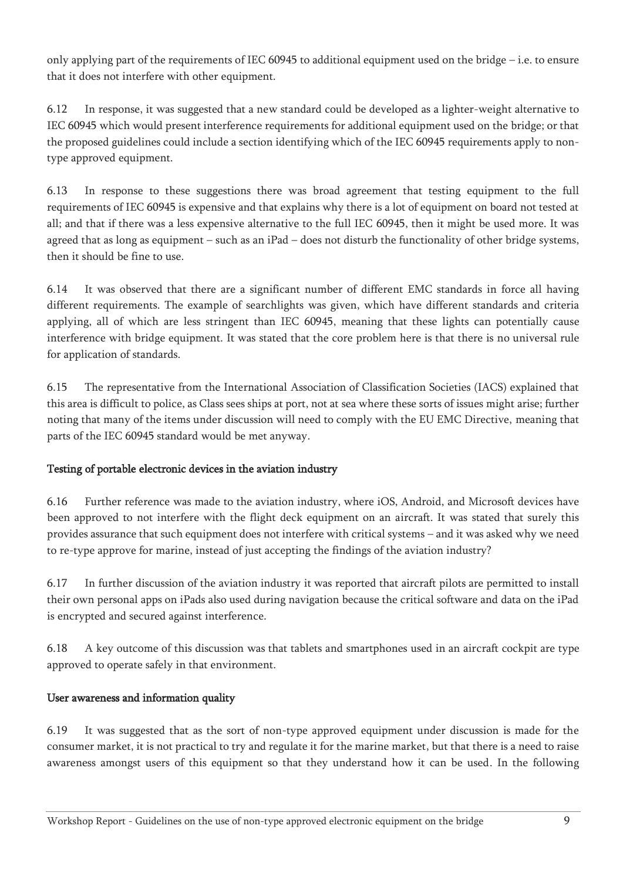only applying part of the requirements of IEC 60945 to additional equipment used on the bridge – i.e. to ensure that it does not interfere with other equipment.

6.12 In response, it was suggested that a new standard could be developed as a lighter-weight alternative to IEC 60945 which would present interference requirements for additional equipment used on the bridge; or that the proposed guidelines could include a section identifying which of the IEC 60945 requirements apply to nontype approved equipment.

6.13 In response to these suggestions there was broad agreement that testing equipment to the full requirements of IEC 60945 is expensive and that explains why there is a lot of equipment on board not tested at all; and that if there was a less expensive alternative to the full IEC 60945, then it might be used more. It was agreed that as long as equipment – such as an iPad – does not disturb the functionality of other bridge systems, then it should be fine to use.

6.14 It was observed that there are a significant number of different EMC standards in force all having different requirements. The example of searchlights was given, which have different standards and criteria applying, all of which are less stringent than IEC 60945, meaning that these lights can potentially cause interference with bridge equipment. It was stated that the core problem here is that there is no universal rule for application of standards.

6.15 The representative from the International Association of Classification Societies (IACS) explained that this area is difficult to police, as Class sees ships at port, not at sea where these sorts of issues might arise; further noting that many of the items under discussion will need to comply with the EU EMC Directive, meaning that parts of the IEC 60945 standard would be met anyway.

### Testing of portable electronic devices in the aviation industry

6.16 Further reference was made to the aviation industry, where iOS, Android, and Microsoft devices have been approved to not interfere with the flight deck equipment on an aircraft. It was stated that surely this provides assurance that such equipment does not interfere with critical systems – and it was asked why we need to re-type approve for marine, instead of just accepting the findings of the aviation industry?

6.17 In further discussion of the aviation industry it was reported that aircraft pilots are permitted to install their own personal apps on iPads also used during navigation because the critical software and data on the iPad is encrypted and secured against interference.

6.18 A key outcome of this discussion was that tablets and smartphones used in an aircraft cockpit are type approved to operate safely in that environment.

### User awareness and information quality

6.19 It was suggested that as the sort of non-type approved equipment under discussion is made for the consumer market, it is not practical to try and regulate it for the marine market, but that there is a need to raise awareness amongst users of this equipment so that they understand how it can be used. In the following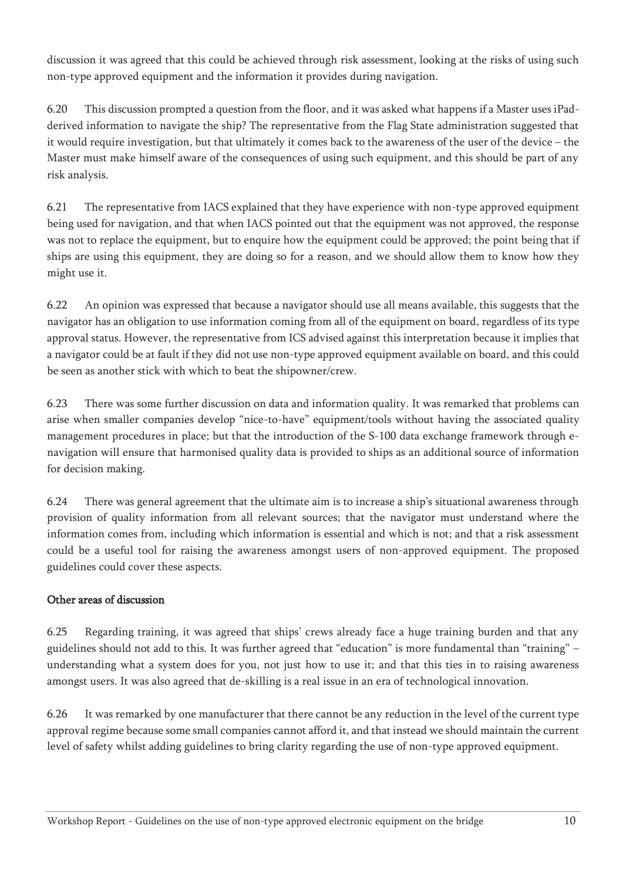discussion it was agreed that this could be achieved through risk assessment, looking at the risks of using such non-type approved equipment and the information it provides during navigation.

6.20 This discussion prompted a question from the floor, and it was asked what happens if a Master uses iPadderived information to navigate the ship? The representative from the Flag State administration suggested that it would require investigation, but that ultimately it comes back to the awareness of the user of the device – the Master must make himself aware of the consequences of using such equipment, and this should be part of any risk analysis.

6.21 The representative from IACS explained that they have experience with non-type approved equipment being used for navigation, and that when IACS pointed out that the equipment was not approved, the response was not to replace the equipment, but to enquire how the equipment could be approved; the point being that if ships are using this equipment, they are doing so for a reason, and we should allow them to know how they might use it.

6.22 An opinion was expressed that because a navigator should use all means available, this suggests that the navigator has an obligation to use information coming from all of the equipment on board, regardless of its type approval status. However, the representative from ICS advised against this interpretation because it implies that a navigator could be at fault if they did not use non-type approved equipment available on board, and this could be seen as another stick with which to beat the shipowner/crew.

6.23 There was some further discussion on data and information quality. It was remarked that problems can arise when smaller companies develop "nice-to-have" equipment/tools without having the associated quality management procedures in place; but that the introduction of the S-100 data exchange framework through enavigation will ensure that harmonised quality data is provided to ships as an additional source of information for decision making.

6.24 There was general agreement that the ultimate aim is to increase a ship's situational awareness through provision of quality information from all relevant sources; that the navigator must understand where the information comes from, including which information is essential and which is not; and that a risk assessment could be a useful tool for raising the awareness amongst users of non-approved equipment. The proposed guidelines could cover these aspects.

### Other areas of discussion

6.25 Regarding training, it was agreed that ships' crews already face a huge training burden and that any guidelines should not add to this. It was further agreed that "education" is more fundamental than "training" – understanding what a system does for you, not just how to use it; and that this ties in to raising awareness amongst users. It was also agreed that de-skilling is a real issue in an era of technological innovation.

6.26 It was remarked by one manufacturer that there cannot be any reduction in the level of the current type approval regime because some small companies cannot afford it, and that instead we should maintain the current level of safety whilst adding guidelines to bring clarity regarding the use of non-type approved equipment.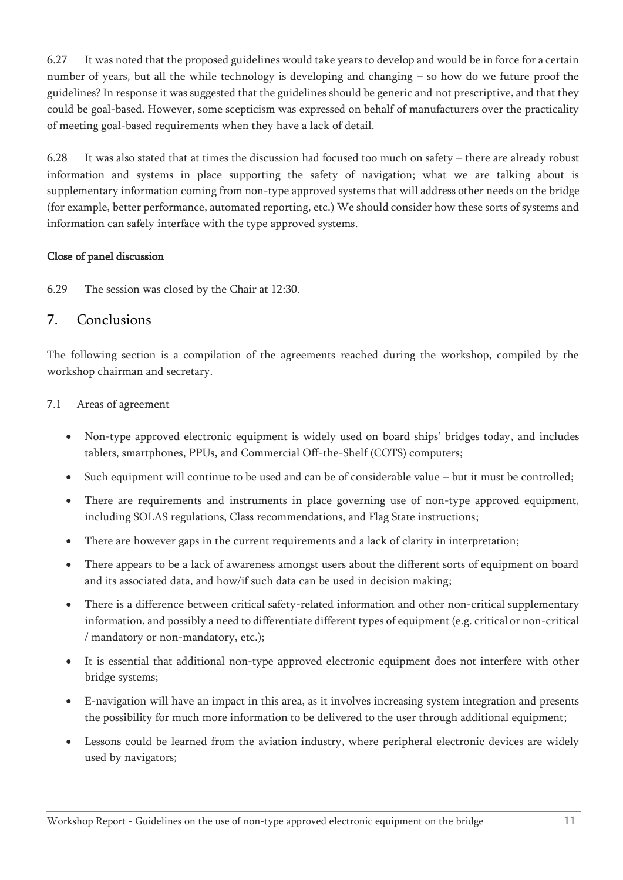6.27 It was noted that the proposed guidelines would take years to develop and would be in force for a certain number of years, but all the while technology is developing and changing – so how do we future proof the guidelines? In response it was suggested that the guidelines should be generic and not prescriptive, and that they could be goal-based. However, some scepticism was expressed on behalf of manufacturers over the practicality of meeting goal-based requirements when they have a lack of detail.

6.28 It was also stated that at times the discussion had focused too much on safety – there are already robust information and systems in place supporting the safety of navigation; what we are talking about is supplementary information coming from non-type approved systems that will address other needs on the bridge (for example, better performance, automated reporting, etc.) We should consider how these sorts of systems and information can safely interface with the type approved systems.

#### Close of panel discussion

6.29 The session was closed by the Chair at 12:30.

### <span id="page-10-0"></span>7. Conclusions

The following section is a compilation of the agreements reached during the workshop, compiled by the workshop chairman and secretary.

#### 7.1 Areas of agreement

- Non-type approved electronic equipment is widely used on board ships' bridges today, and includes tablets, smartphones, PPUs, and Commercial Off-the-Shelf (COTS) computers;
- Such equipment will continue to be used and can be of considerable value but it must be controlled;
- There are requirements and instruments in place governing use of non-type approved equipment, including SOLAS regulations, Class recommendations, and Flag State instructions;
- There are however gaps in the current requirements and a lack of clarity in interpretation;
- There appears to be a lack of awareness amongst users about the different sorts of equipment on board and its associated data, and how/if such data can be used in decision making;
- There is a difference between critical safety-related information and other non-critical supplementary information, and possibly a need to differentiate different types of equipment (e.g. critical or non-critical / mandatory or non-mandatory, etc.);
- It is essential that additional non-type approved electronic equipment does not interfere with other bridge systems;
- E-navigation will have an impact in this area, as it involves increasing system integration and presents the possibility for much more information to be delivered to the user through additional equipment;
- Lessons could be learned from the aviation industry, where peripheral electronic devices are widely used by navigators;